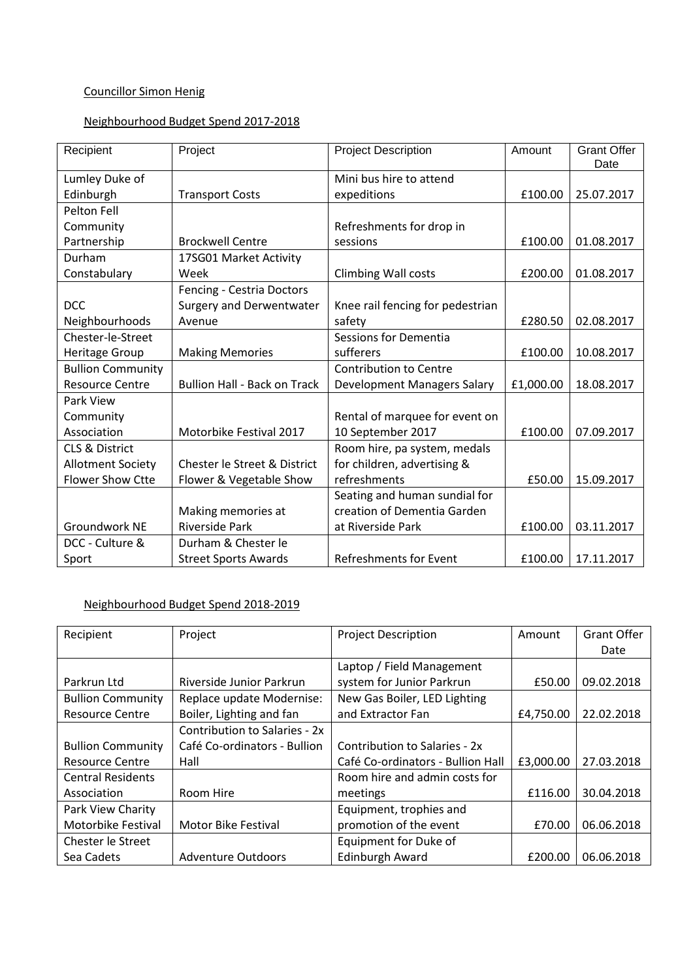## Councillor Simon Henig

## Neighbourhood Budget Spend 2017-2018

| Recipient                 | Project                             | <b>Project Description</b>       | Amount    | <b>Grant Offer</b><br>Date |
|---------------------------|-------------------------------------|----------------------------------|-----------|----------------------------|
| Lumley Duke of            |                                     | Mini bus hire to attend          |           |                            |
| Edinburgh                 | <b>Transport Costs</b>              | expeditions                      | £100.00   | 25.07.2017                 |
| Pelton Fell               |                                     |                                  |           |                            |
| Community                 |                                     | Refreshments for drop in         |           |                            |
| Partnership               | <b>Brockwell Centre</b>             | sessions                         | £100.00   | 01.08.2017                 |
| Durham                    | 17SG01 Market Activity              |                                  |           |                            |
| Constabulary              | Week                                | Climbing Wall costs              | £200.00   | 01.08.2017                 |
|                           | Fencing - Cestria Doctors           |                                  |           |                            |
| <b>DCC</b>                | Surgery and Derwentwater            | Knee rail fencing for pedestrian |           |                            |
| Neighbourhoods            | Avenue                              | safety                           | £280.50   | 02.08.2017                 |
| Chester-le-Street         |                                     | Sessions for Dementia            |           |                            |
| Heritage Group            | <b>Making Memories</b>              | sufferers                        | £100.00   | 10.08.2017                 |
| <b>Bullion Community</b>  |                                     | <b>Contribution to Centre</b>    |           |                            |
| <b>Resource Centre</b>    | <b>Bullion Hall - Back on Track</b> | Development Managers Salary      | £1,000.00 | 18.08.2017                 |
| Park View                 |                                     |                                  |           |                            |
| Community                 |                                     | Rental of marquee for event on   |           |                            |
| Association               | Motorbike Festival 2017             | 10 September 2017                | £100.00   | 07.09.2017                 |
| <b>CLS &amp; District</b> |                                     | Room hire, pa system, medals     |           |                            |
| <b>Allotment Society</b>  | Chester le Street & District        | for children, advertising &      |           |                            |
| <b>Flower Show Ctte</b>   | Flower & Vegetable Show             | refreshments                     | £50.00    | 15.09.2017                 |
|                           |                                     | Seating and human sundial for    |           |                            |
|                           | Making memories at                  | creation of Dementia Garden      |           |                            |
| Groundwork NE             | <b>Riverside Park</b>               | at Riverside Park                | £100.00   | 03.11.2017                 |
| DCC - Culture &           | Durham & Chester le                 |                                  |           |                            |
| Sport                     | <b>Street Sports Awards</b>         | <b>Refreshments for Event</b>    | £100.00   | 17.11.2017                 |

#### Neighbourhood Budget Spend 2018-2019

| Recipient                | Project                       | <b>Project Description</b>        | Amount    | Grant Offer |
|--------------------------|-------------------------------|-----------------------------------|-----------|-------------|
|                          |                               |                                   |           | Date        |
|                          |                               | Laptop / Field Management         |           |             |
| Parkrun Ltd              | Riverside Junior Parkrun      | system for Junior Parkrun         | £50.00    | 09.02.2018  |
| <b>Bullion Community</b> | Replace update Modernise:     | New Gas Boiler, LED Lighting      |           |             |
| <b>Resource Centre</b>   | Boiler, Lighting and fan      | and Extractor Fan                 | £4,750.00 | 22.02.2018  |
|                          | Contribution to Salaries - 2x |                                   |           |             |
| <b>Bullion Community</b> | Café Co-ordinators - Bullion  | Contribution to Salaries - 2x     |           |             |
| <b>Resource Centre</b>   | Hall                          | Café Co-ordinators - Bullion Hall | £3,000.00 | 27.03.2018  |
| <b>Central Residents</b> |                               | Room hire and admin costs for     |           |             |
| Association              | Room Hire                     | meetings                          | £116.00   | 30.04.2018  |
| Park View Charity        |                               | Equipment, trophies and           |           |             |
| Motorbike Festival       | <b>Motor Bike Festival</b>    | promotion of the event            | £70.00    | 06.06.2018  |
| Chester le Street        |                               | Equipment for Duke of             |           |             |
| Sea Cadets               | <b>Adventure Outdoors</b>     | <b>Edinburgh Award</b>            | £200.00   | 06.06.2018  |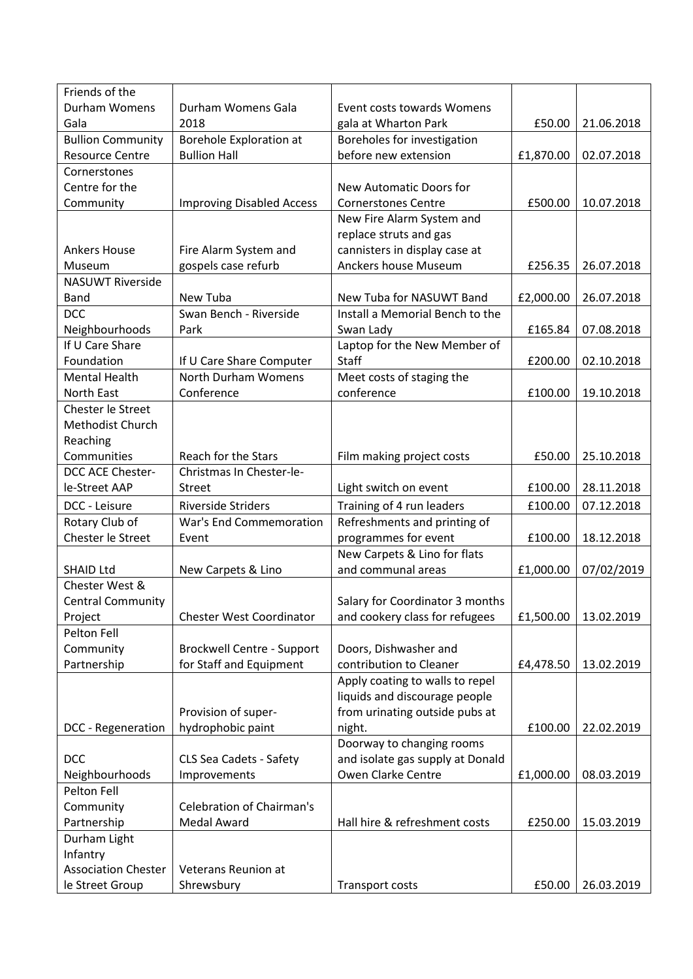| Friends of the             |                                   |                                  |           |            |
|----------------------------|-----------------------------------|----------------------------------|-----------|------------|
| Durham Womens              | Durham Womens Gala                | Event costs towards Womens       |           |            |
| Gala                       | 2018                              | gala at Wharton Park             | £50.00    | 21.06.2018 |
| <b>Bullion Community</b>   | <b>Borehole Exploration at</b>    | Boreholes for investigation      |           |            |
| <b>Resource Centre</b>     | <b>Bullion Hall</b>               | before new extension             | £1,870.00 | 02.07.2018 |
| Cornerstones               |                                   |                                  |           |            |
| Centre for the             |                                   | New Automatic Doors for          |           |            |
| Community                  | <b>Improving Disabled Access</b>  | <b>Cornerstones Centre</b>       | £500.00   | 10.07.2018 |
|                            |                                   | New Fire Alarm System and        |           |            |
|                            |                                   | replace struts and gas           |           |            |
| <b>Ankers House</b>        | Fire Alarm System and             | cannisters in display case at    |           |            |
| Museum                     | gospels case refurb               | Anckers house Museum             | £256.35   | 26.07.2018 |
| <b>NASUWT Riverside</b>    |                                   |                                  |           |            |
| <b>Band</b>                | New Tuba                          | New Tuba for NASUWT Band         | £2,000.00 | 26.07.2018 |
| <b>DCC</b>                 | Swan Bench - Riverside            | Install a Memorial Bench to the  |           |            |
| Neighbourhoods             | Park                              | Swan Lady                        | £165.84   | 07.08.2018 |
| If U Care Share            |                                   | Laptop for the New Member of     |           |            |
| Foundation                 | If U Care Share Computer          | Staff                            | £200.00   | 02.10.2018 |
| <b>Mental Health</b>       | North Durham Womens               | Meet costs of staging the        |           |            |
| North East                 | Conference                        | conference                       | £100.00   | 19.10.2018 |
| Chester le Street          |                                   |                                  |           |            |
| Methodist Church           |                                   |                                  |           |            |
| Reaching                   |                                   |                                  |           |            |
| Communities                | Reach for the Stars               | Film making project costs        | £50.00    | 25.10.2018 |
| DCC ACE Chester-           | Christmas In Chester-le-          |                                  |           |            |
| le-Street AAP              | <b>Street</b>                     | Light switch on event            | £100.00   | 28.11.2018 |
| DCC - Leisure              | <b>Riverside Striders</b>         | Training of 4 run leaders        | £100.00   | 07.12.2018 |
| Rotary Club of             | War's End Commemoration           | Refreshments and printing of     |           |            |
| Chester le Street          | Event                             | programmes for event             | £100.00   | 18.12.2018 |
|                            |                                   | New Carpets & Lino for flats     |           |            |
| <b>SHAID Ltd</b>           | New Carpets & Lino                | and communal areas               | £1,000.00 | 07/02/2019 |
| Chester West &             |                                   |                                  |           |            |
| <b>Central Community</b>   |                                   | Salary for Coordinator 3 months  |           |            |
| Project                    | <b>Chester West Coordinator</b>   | and cookery class for refugees   | £1,500.00 | 13.02.2019 |
| Pelton Fell                |                                   |                                  |           |            |
| Community                  | <b>Brockwell Centre - Support</b> | Doors, Dishwasher and            |           |            |
| Partnership                | for Staff and Equipment           | contribution to Cleaner          | £4,478.50 | 13.02.2019 |
|                            |                                   | Apply coating to walls to repel  |           |            |
|                            |                                   | liquids and discourage people    |           |            |
|                            | Provision of super-               | from urinating outside pubs at   |           |            |
| DCC - Regeneration         | hydrophobic paint                 | night.                           | £100.00   | 22.02.2019 |
|                            |                                   | Doorway to changing rooms        |           |            |
| <b>DCC</b>                 | CLS Sea Cadets - Safety           | and isolate gas supply at Donald |           |            |
| Neighbourhoods             | Improvements                      | Owen Clarke Centre               | £1,000.00 | 08.03.2019 |
| Pelton Fell                |                                   |                                  |           |            |
| Community                  | <b>Celebration of Chairman's</b>  |                                  |           |            |
| Partnership                | <b>Medal Award</b>                | Hall hire & refreshment costs    | £250.00   | 15.03.2019 |
| Durham Light               |                                   |                                  |           |            |
| Infantry                   |                                   |                                  |           |            |
| <b>Association Chester</b> | Veterans Reunion at               |                                  |           |            |
| le Street Group            | Shrewsbury                        | <b>Transport costs</b>           | £50.00    | 26.03.2019 |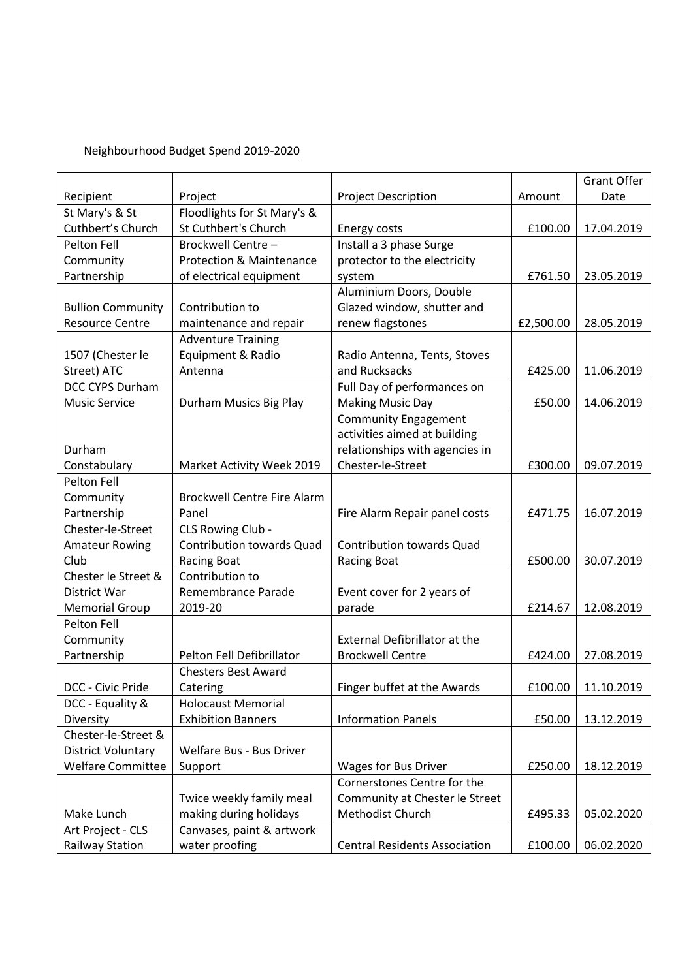#### Neighbourhood Budget Spend 2019-2020

|                           |                                     |                                      |           | <b>Grant Offer</b> |
|---------------------------|-------------------------------------|--------------------------------------|-----------|--------------------|
| Recipient                 | Project                             | <b>Project Description</b>           | Amount    | Date               |
| St Mary's & St            | Floodlights for St Mary's &         |                                      |           |                    |
| Cuthbert's Church         | St Cuthbert's Church                | Energy costs                         | £100.00   | 17.04.2019         |
| Pelton Fell               | Brockwell Centre -                  | Install a 3 phase Surge              |           |                    |
| Community                 | <b>Protection &amp; Maintenance</b> | protector to the electricity         |           |                    |
| Partnership               | of electrical equipment             | system                               | £761.50   | 23.05.2019         |
|                           |                                     | Aluminium Doors, Double              |           |                    |
| <b>Bullion Community</b>  | Contribution to                     | Glazed window, shutter and           |           |                    |
| <b>Resource Centre</b>    | maintenance and repair              | renew flagstones                     | £2,500.00 | 28.05.2019         |
|                           | <b>Adventure Training</b>           |                                      |           |                    |
| 1507 (Chester le          | Equipment & Radio                   | Radio Antenna, Tents, Stoves         |           |                    |
| Street) ATC               | Antenna                             | and Rucksacks                        | £425.00   | 11.06.2019         |
| DCC CYPS Durham           |                                     | Full Day of performances on          |           |                    |
| <b>Music Service</b>      | Durham Musics Big Play              | <b>Making Music Day</b>              | £50.00    | 14.06.2019         |
|                           |                                     | <b>Community Engagement</b>          |           |                    |
|                           |                                     | activities aimed at building         |           |                    |
| Durham                    |                                     | relationships with agencies in       |           |                    |
| Constabulary              | Market Activity Week 2019           | Chester-le-Street                    | £300.00   | 09.07.2019         |
| Pelton Fell               |                                     |                                      |           |                    |
| Community                 | <b>Brockwell Centre Fire Alarm</b>  |                                      |           |                    |
| Partnership               | Panel                               | Fire Alarm Repair panel costs        | £471.75   | 16.07.2019         |
| Chester-le-Street         | CLS Rowing Club -                   |                                      |           |                    |
| <b>Amateur Rowing</b>     | <b>Contribution towards Quad</b>    | <b>Contribution towards Quad</b>     |           |                    |
| Club                      | <b>Racing Boat</b>                  | <b>Racing Boat</b>                   | £500.00   | 30.07.2019         |
| Chester le Street &       | Contribution to                     |                                      |           |                    |
| District War              | Remembrance Parade                  | Event cover for 2 years of           |           |                    |
| <b>Memorial Group</b>     | 2019-20                             | parade                               | £214.67   | 12.08.2019         |
| Pelton Fell               |                                     |                                      |           |                    |
| Community                 |                                     | <b>External Defibrillator at the</b> |           |                    |
| Partnership               | Pelton Fell Defibrillator           | <b>Brockwell Centre</b>              | £424.00   | 27.08.2019         |
|                           | <b>Chesters Best Award</b>          |                                      |           |                    |
| DCC - Civic Pride         | Catering                            | Finger buffet at the Awards          | £100.00   | 11.10.2019         |
| DCC - Equality &          | <b>Holocaust Memorial</b>           |                                      |           |                    |
| Diversity                 | <b>Exhibition Banners</b>           | <b>Information Panels</b>            | £50.00    | 13.12.2019         |
| Chester-le-Street &       |                                     |                                      |           |                    |
| <b>District Voluntary</b> | Welfare Bus - Bus Driver            |                                      |           |                    |
| <b>Welfare Committee</b>  |                                     |                                      |           |                    |
|                           | Support                             | Wages for Bus Driver                 | £250.00   | 18.12.2019         |
|                           |                                     | Cornerstones Centre for the          |           |                    |
|                           | Twice weekly family meal            | Community at Chester le Street       |           |                    |
| Make Lunch                | making during holidays              | Methodist Church                     | £495.33   | 05.02.2020         |
| Art Project - CLS         | Canvases, paint & artwork           |                                      |           |                    |
| <b>Railway Station</b>    | water proofing                      | <b>Central Residents Association</b> | £100.00   | 06.02.2020         |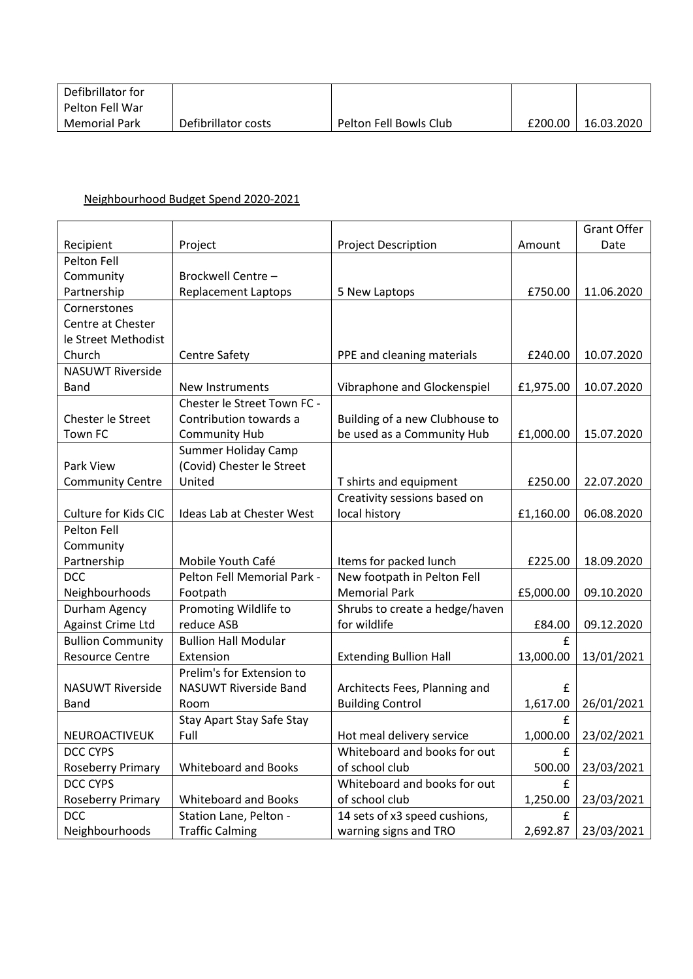| Defibrillator for |                     |                        |         |            |
|-------------------|---------------------|------------------------|---------|------------|
| Pelton Fell War   |                     |                        |         |            |
| Memorial Park     | Defibrillator costs | Pelton Fell Bowls Club | £200.00 | 16.03.2020 |

## Neighbourhood Budget Spend 2020-2021

|                          |                                  |                                |           | <b>Grant Offer</b> |
|--------------------------|----------------------------------|--------------------------------|-----------|--------------------|
| Recipient                | Project                          | <b>Project Description</b>     | Amount    | Date               |
| Pelton Fell              |                                  |                                |           |                    |
| Community                | Brockwell Centre -               |                                |           |                    |
| Partnership              | <b>Replacement Laptops</b>       | 5 New Laptops                  | £750.00   | 11.06.2020         |
| Cornerstones             |                                  |                                |           |                    |
| Centre at Chester        |                                  |                                |           |                    |
| le Street Methodist      |                                  |                                |           |                    |
| Church                   | <b>Centre Safety</b>             | PPE and cleaning materials     | £240.00   | 10.07.2020         |
| <b>NASUWT Riverside</b>  |                                  |                                |           |                    |
| <b>Band</b>              | New Instruments                  | Vibraphone and Glockenspiel    | £1,975.00 | 10.07.2020         |
|                          | Chester le Street Town FC -      |                                |           |                    |
| Chester le Street        | Contribution towards a           | Building of a new Clubhouse to |           |                    |
| Town FC                  | <b>Community Hub</b>             | be used as a Community Hub     | £1,000.00 | 15.07.2020         |
|                          | <b>Summer Holiday Camp</b>       |                                |           |                    |
| Park View                | (Covid) Chester le Street        |                                |           |                    |
| <b>Community Centre</b>  | United                           | T shirts and equipment         | £250.00   | 22.07.2020         |
|                          |                                  | Creativity sessions based on   |           |                    |
| Culture for Kids CIC     | Ideas Lab at Chester West        | local history                  | £1,160.00 | 06.08.2020         |
| Pelton Fell              |                                  |                                |           |                    |
| Community                |                                  |                                |           |                    |
| Partnership              | Mobile Youth Café                | Items for packed lunch         | £225.00   | 18.09.2020         |
| <b>DCC</b>               | Pelton Fell Memorial Park -      | New footpath in Pelton Fell    |           |                    |
| Neighbourhoods           | Footpath                         | <b>Memorial Park</b>           | £5,000.00 | 09.10.2020         |
| Durham Agency            | Promoting Wildlife to            | Shrubs to create a hedge/haven |           |                    |
| Against Crime Ltd        | reduce ASB                       | for wildlife                   | £84.00    | 09.12.2020         |
| <b>Bullion Community</b> | <b>Bullion Hall Modular</b>      |                                | £         |                    |
| <b>Resource Centre</b>   | Extension                        | <b>Extending Bullion Hall</b>  | 13,000.00 | 13/01/2021         |
|                          | Prelim's for Extension to        |                                |           |                    |
| <b>NASUWT Riverside</b>  | <b>NASUWT Riverside Band</b>     | Architects Fees, Planning and  | £         |                    |
| <b>Band</b>              | Room                             | <b>Building Control</b>        | 1,617.00  | 26/01/2021         |
|                          | <b>Stay Apart Stay Safe Stay</b> |                                | £         |                    |
| NEUROACTIVEUK            | Full                             | Hot meal delivery service      | 1,000.00  | 23/02/2021         |
| DCC CYPS                 |                                  | Whiteboard and books for out   | £         |                    |
| <b>Roseberry Primary</b> | <b>Whiteboard and Books</b>      | of school club                 | 500.00    | 23/03/2021         |
| DCC CYPS                 |                                  | Whiteboard and books for out   | £         |                    |
| Roseberry Primary        | <b>Whiteboard and Books</b>      | of school club                 | 1,250.00  | 23/03/2021         |
| <b>DCC</b>               | Station Lane, Pelton -           | 14 sets of x3 speed cushions,  | £         |                    |
| Neighbourhoods           | <b>Traffic Calming</b>           | warning signs and TRO          | 2,692.87  | 23/03/2021         |